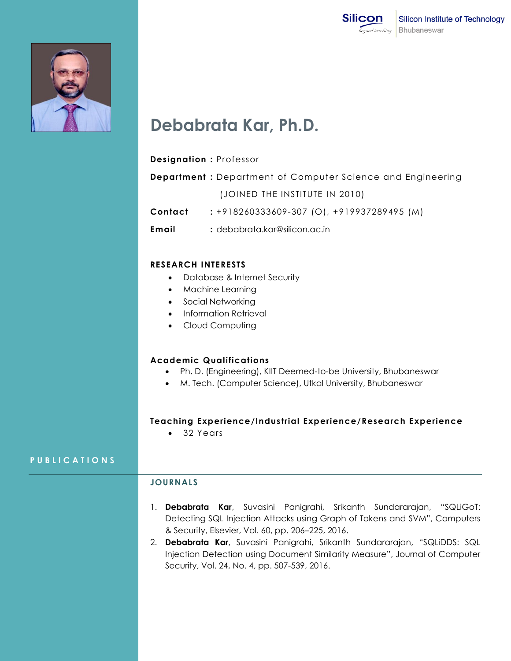



# **Debabrata Kar, Ph.D.**

#### **Designation :** Professor

**Department :** Department of Computer Science and Engineering (JOINED THE INSTITUTE IN 2010)

**Contact :** +918260333609-307 (O), +919937289495 (M)

**Email :** [debabrata.kar@silicon.ac.in](mailto:debabrata.kar@silicon.ac.in)

#### **RESEARCH INTERESTS**

- Database & Internet Security
- Machine Learning
- Social Networking
- Information Retrieval
- Cloud Computing

## **Academic Qualifications**

- Ph. D. (Engineering), KIIT Deemed-to-be University, Bhubaneswar
- M. Tech. (Computer Science), Utkal University, Bhubaneswar

## **Teaching Experience/Industrial Experience/Research Experience**

• 32 Years

## **P U B L I C A T I O N S**

## **JOURNALS**

- 1. **Debabrata Kar**, Suvasini Panigrahi, Srikanth Sundararajan, "SQLiGoT: Detecting SQL Injection Attacks using Graph of Tokens and SVM", Computers & Security, Elsevier, Vol. 60, pp. 206–225, 2016.
- 2. **Debabrata Kar**, Suvasini Panigrahi, Srikanth Sundararajan, "SQLiDDS: SQL Injection Detection using Document Similarity Measure", Journal of Computer Security, Vol. 24, No. 4, pp. 507-539, 2016.